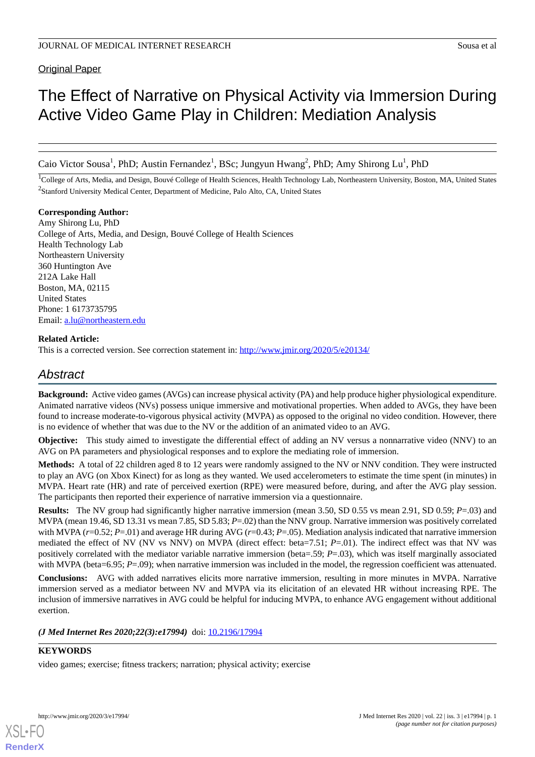**Original Paper** 

# The Effect of Narrative on Physical Activity via Immersion During Active Video Game Play in Children: Mediation Analysis

Caio Victor Sousa<sup>1</sup>, PhD; Austin Fernandez<sup>1</sup>, BSc; Jungyun Hwang<sup>2</sup>, PhD; Amy Shirong Lu<sup>1</sup>, PhD

<sup>1</sup>College of Arts, Media, and Design, Bouvé College of Health Sciences, Health Technology Lab, Northeastern University, Boston, MA, United States <sup>2</sup>Stanford University Medical Center, Department of Medicine, Palo Alto, CA, United States

**Corresponding Author:**

Amy Shirong Lu, PhD College of Arts, Media, and Design, Bouvé College of Health Sciences Health Technology Lab Northeastern University 360 Huntington Ave 212A Lake Hall Boston, MA, 02115 United States Phone: 1 6173735795 Email: [a.lu@northeastern.edu](mailto:a.lu@northeastern.edu)

# **Related Article:**

This is a corrected version. See correction statement in: <http://www.jmir.org/2020/5/e20134/>

# *Abstract*

**Background:** Active video games (AVGs) can increase physical activity (PA) and help produce higher physiological expenditure. Animated narrative videos (NVs) possess unique immersive and motivational properties. When added to AVGs, they have been found to increase moderate-to-vigorous physical activity (MVPA) as opposed to the original no video condition. However, there is no evidence of whether that was due to the NV or the addition of an animated video to an AVG.

**Objective:** This study aimed to investigate the differential effect of adding an NV versus a nonnarrative video (NNV) to an AVG on PA parameters and physiological responses and to explore the mediating role of immersion.

**Methods:** A total of 22 children aged 8 to 12 years were randomly assigned to the NV or NNV condition. They were instructed to play an AVG (on Xbox Kinect) for as long as they wanted. We used accelerometers to estimate the time spent (in minutes) in MVPA. Heart rate (HR) and rate of perceived exertion (RPE) were measured before, during, and after the AVG play session. The participants then reported their experience of narrative immersion via a questionnaire.

**Results:** The NV group had significantly higher narrative immersion (mean 3.50, SD 0.55 vs mean 2.91, SD 0.59; *P*=.03) and MVPA (mean 19.46, SD 13.31 vs mean 7.85, SD 5.83; *P*=.02) than the NNV group. Narrative immersion was positively correlated with MVPA (*r*=0.52; *P*=.01) and average HR during AVG (*r*=0.43; *P*=.05). Mediation analysis indicated that narrative immersion mediated the effect of NV (NV vs NNV) on MVPA (direct effect: beta=7.51; *P*=.01). The indirect effect was that NV was positively correlated with the mediator variable narrative immersion (beta=.59; *P*=.03), which was itself marginally associated with MVPA (beta=6.95; *P*=.09); when narrative immersion was included in the model, the regression coefficient was attenuated.

**Conclusions:** AVG with added narratives elicits more narrative immersion, resulting in more minutes in MVPA. Narrative immersion served as a mediator between NV and MVPA via its elicitation of an elevated HR without increasing RPE. The inclusion of immersive narratives in AVG could be helpful for inducing MVPA, to enhance AVG engagement without additional exertion.

*(J Med Internet Res 2020;22(3):e17994)* doi:  $10.2196/17994$ 

# **KEYWORDS**

video games; exercise; fitness trackers; narration; physical activity; exercise



**[RenderX](http://www.renderx.com/)**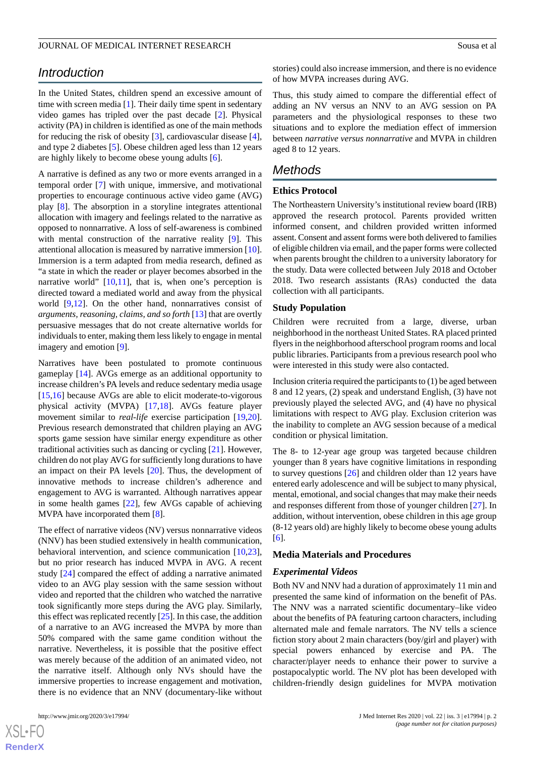# *Introduction*

In the United States, children spend an excessive amount of time with screen media [\[1\]](#page-6-0). Their daily time spent in sedentary video games has tripled over the past decade [\[2\]](#page-6-1). Physical activity (PA) in children is identified as one of the main methods for reducing the risk of obesity [\[3](#page-6-2)], cardiovascular disease [[4\]](#page-6-3), and type 2 diabetes [[5\]](#page-6-4). Obese children aged less than 12 years are highly likely to become obese young adults [[6\]](#page-6-5).

A narrative is defined as any two or more events arranged in a temporal order [[7](#page-6-6)] with unique, immersive, and motivational properties to encourage continuous active video game (AVG) play [\[8](#page-7-0)]. The absorption in a storyline integrates attentional allocation with imagery and feelings related to the narrative as opposed to nonnarrative. A loss of self-awareness is combined with mental construction of the narrative reality [[9\]](#page-7-1). This attentional allocation is measured by narrative immersion [[10\]](#page-7-2). Immersion is a term adapted from media research, defined as "a state in which the reader or player becomes absorbed in the narrative world" [\[10](#page-7-2),[11\]](#page-7-3), that is, when one's perception is directed toward a mediated world and away from the physical world [\[9](#page-7-1),[12\]](#page-7-4). On the other hand, nonnarratives consist of *arguments, reasoning, claims, and so forth* [[13\]](#page-7-5) that are overtly persuasive messages that do not create alternative worlds for individuals to enter, making them less likely to engage in mental imagery and emotion [\[9](#page-7-1)].

Narratives have been postulated to promote continuous gameplay [[14\]](#page-7-6). AVGs emerge as an additional opportunity to increase children's PA levels and reduce sedentary media usage [[15](#page-7-7)[,16](#page-7-8)] because AVGs are able to elicit moderate-to-vigorous physical activity (MVPA) [\[17](#page-7-9),[18\]](#page-7-10). AVGs feature player movement similar to *real-life* exercise participation [\[19](#page-7-11),[20\]](#page-7-12). Previous research demonstrated that children playing an AVG sports game session have similar energy expenditure as other traditional activities such as dancing or cycling [\[21](#page-7-13)]. However, children do not play AVG for sufficiently long durations to have an impact on their PA levels [\[20](#page-7-12)]. Thus, the development of innovative methods to increase children's adherence and engagement to AVG is warranted. Although narratives appear in some health games [\[22](#page-7-14)], few AVGs capable of achieving MVPA have incorporated them [[8\]](#page-7-0).

The effect of narrative videos (NV) versus nonnarrative videos (NNV) has been studied extensively in health communication, behavioral intervention, and science communication [\[10](#page-7-2),[23\]](#page-7-15), but no prior research has induced MVPA in AVG. A recent study [\[24](#page-7-16)] compared the effect of adding a narrative animated video to an AVG play session with the same session without video and reported that the children who watched the narrative took significantly more steps during the AVG play. Similarly, this effect was replicated recently [\[25\]](#page-7-17). In this case, the addition of a narrative to an AVG increased the MVPA by more than 50% compared with the same game condition without the narrative. Nevertheless, it is possible that the positive effect was merely because of the addition of an animated video, not the narrative itself. Although only NVs should have the immersive properties to increase engagement and motivation, there is no evidence that an NNV (documentary-like without

stories) could also increase immersion, and there is no evidence of how MVPA increases during AVG.

Thus, this study aimed to compare the differential effect of adding an NV versus an NNV to an AVG session on PA parameters and the physiological responses to these two situations and to explore the mediation effect of immersion between *narrative versus nonnarrative* and MVPA in children aged 8 to 12 years.

# *Methods*

## **Ethics Protocol**

The Northeastern University's institutional review board (IRB) approved the research protocol. Parents provided written informed consent, and children provided written informed assent. Consent and assent forms were both delivered to families of eligible children via email, and the paper forms were collected when parents brought the children to a university laboratory for the study. Data were collected between July 2018 and October 2018. Two research assistants (RAs) conducted the data collection with all participants.

#### **Study Population**

Children were recruited from a large, diverse, urban neighborhood in the northeast United States. RA placed printed flyers in the neighborhood afterschool program rooms and local public libraries. Participants from a previous research pool who were interested in this study were also contacted.

Inclusion criteria required the participants to (1) be aged between 8 and 12 years, (2) speak and understand English, (3) have not previously played the selected AVG, and (4) have no physical limitations with respect to AVG play. Exclusion criterion was the inability to complete an AVG session because of a medical condition or physical limitation.

The 8- to 12-year age group was targeted because children younger than 8 years have cognitive limitations in responding to survey questions [[26\]](#page-7-18) and children older than 12 years have entered early adolescence and will be subject to many physical, mental, emotional, and social changes that may make their needs and responses different from those of younger children [\[27](#page-7-19)]. In addition, without intervention, obese children in this age group (8-12 years old) are highly likely to become obese young adults [[6\]](#page-6-5).

#### **Media Materials and Procedures**

#### *Experimental Videos*

Both NV and NNV had a duration of approximately 11 min and presented the same kind of information on the benefit of PAs. The NNV was a narrated scientific documentary–like video about the benefits of PA featuring cartoon characters, including alternated male and female narrators. The NV tells a science fiction story about 2 main characters (boy/girl and player) with special powers enhanced by exercise and PA. The character/player needs to enhance their power to survive a postapocalyptic world. The NV plot has been developed with children-friendly design guidelines for MVPA motivation

```
XS\cdotFC
RenderX
```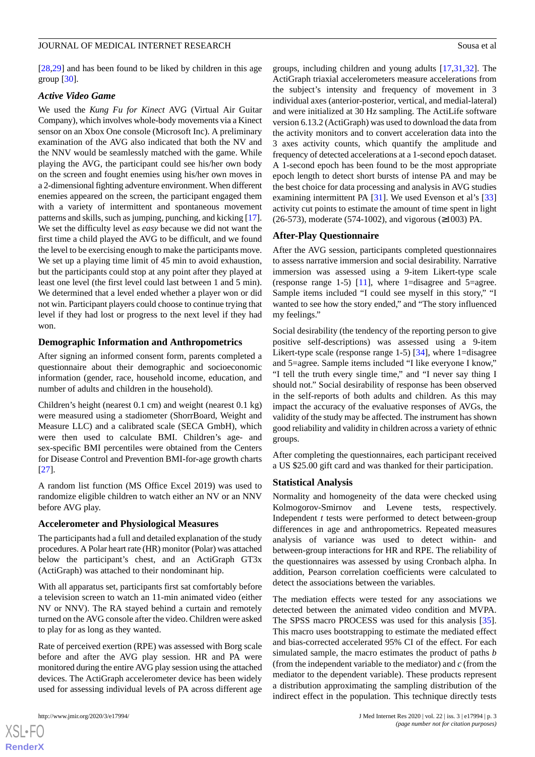[[28](#page-7-20)[,29](#page-7-21)] and has been found to be liked by children in this age group [[30\]](#page-7-22).

## *Active Video Game*

We used the *Kung Fu for Kinect* AVG (Virtual Air Guitar Company), which involves whole-body movements via a Kinect sensor on an Xbox One console (Microsoft Inc). A preliminary examination of the AVG also indicated that both the NV and the NNV would be seamlessly matched with the game. While playing the AVG, the participant could see his/her own body on the screen and fought enemies using his/her own moves in a 2-dimensional fighting adventure environment. When different enemies appeared on the screen, the participant engaged them with a variety of intermittent and spontaneous movement patterns and skills, such as jumping, punching, and kicking [\[17\]](#page-7-9). We set the difficulty level as *easy* because we did not want the first time a child played the AVG to be difficult, and we found the level to be exercising enough to make the participants move. We set up a playing time limit of 45 min to avoid exhaustion, but the participants could stop at any point after they played at least one level (the first level could last between 1 and 5 min). We determined that a level ended whether a player won or did not win. Participant players could choose to continue trying that level if they had lost or progress to the next level if they had won.

#### **Demographic Information and Anthropometrics**

After signing an informed consent form, parents completed a questionnaire about their demographic and socioeconomic information (gender, race, household income, education, and number of adults and children in the household).

Children's height (nearest 0.1 cm) and weight (nearest 0.1 kg) were measured using a stadiometer (ShorrBoard, Weight and Measure LLC) and a calibrated scale (SECA GmbH), which were then used to calculate BMI. Children's age- and sex-specific BMI percentiles were obtained from the Centers for Disease Control and Prevention BMI-for-age growth charts [[27\]](#page-7-19).

A random list function (MS Office Excel 2019) was used to randomize eligible children to watch either an NV or an NNV before AVG play.

#### **Accelerometer and Physiological Measures**

The participants had a full and detailed explanation of the study procedures. A Polar heart rate (HR) monitor (Polar) was attached below the participant's chest, and an ActiGraph GT3x (ActiGraph) was attached to their nondominant hip.

With all apparatus set, participants first sat comfortably before a television screen to watch an 11-min animated video (either NV or NNV). The RA stayed behind a curtain and remotely turned on the AVG console after the video. Children were asked to play for as long as they wanted.

Rate of perceived exertion (RPE) was assessed with Borg scale before and after the AVG play session. HR and PA were monitored during the entire AVG play session using the attached devices. The ActiGraph accelerometer device has been widely used for assessing individual levels of PA across different age groups, including children and young adults [[17,](#page-7-9)[31](#page-7-23),[32\]](#page-8-0). The ActiGraph triaxial accelerometers measure accelerations from the subject's intensity and frequency of movement in 3 individual axes (anterior-posterior, vertical, and medial-lateral) and were initialized at 30 Hz sampling. The ActiLife software version 6.13.2 (ActiGraph) was used to download the data from the activity monitors and to convert acceleration data into the 3 axes activity counts, which quantify the amplitude and frequency of detected accelerations at a 1-second epoch dataset. A 1-second epoch has been found to be the most appropriate epoch length to detect short bursts of intense PA and may be the best choice for data processing and analysis in AVG studies examining intermittent PA [\[31](#page-7-23)]. We used Evenson et al's [\[33](#page-8-1)] activity cut points to estimate the amount of time spent in light (26-573), moderate (574-1002), and vigorous (≥1003) PA.

## **After-Play Questionnaire**

After the AVG session, participants completed questionnaires to assess narrative immersion and social desirability. Narrative immersion was assessed using a 9-item Likert-type scale (response range 1-5) [\[11](#page-7-3)], where 1=disagree and 5=agree. Sample items included "I could see myself in this story," "I wanted to see how the story ended," and "The story influenced my feelings."

Social desirability (the tendency of the reporting person to give positive self-descriptions) was assessed using a 9-item Likert-type scale (response range 1-5) [[34\]](#page-8-2), where 1=disagree and 5=agree. Sample items included "I like everyone I know," "I tell the truth every single time," and "I never say thing I should not." Social desirability of response has been observed in the self-reports of both adults and children. As this may impact the accuracy of the evaluative responses of AVGs, the validity of the study may be affected. The instrument has shown good reliability and validity in children across a variety of ethnic groups.

After completing the questionnaires, each participant received a US \$25.00 gift card and was thanked for their participation.

#### **Statistical Analysis**

Normality and homogeneity of the data were checked using Kolmogorov-Smirnov and Levene tests, respectively. Independent *t* tests were performed to detect between-group differences in age and anthropometrics. Repeated measures analysis of variance was used to detect within- and between-group interactions for HR and RPE. The reliability of the questionnaires was assessed by using Cronbach alpha. In addition, Pearson correlation coefficients were calculated to detect the associations between the variables.

The mediation effects were tested for any associations we detected between the animated video condition and MVPA. The SPSS macro PROCESS was used for this analysis [[35\]](#page-8-3). This macro uses bootstrapping to estimate the mediated effect and bias-corrected accelerated 95% CI of the effect. For each simulated sample, the macro estimates the product of paths *b* (from the independent variable to the mediator) and *c* (from the mediator to the dependent variable). These products represent a distribution approximating the sampling distribution of the indirect effect in the population. This technique directly tests

```
XS\cdotFC
RenderX
```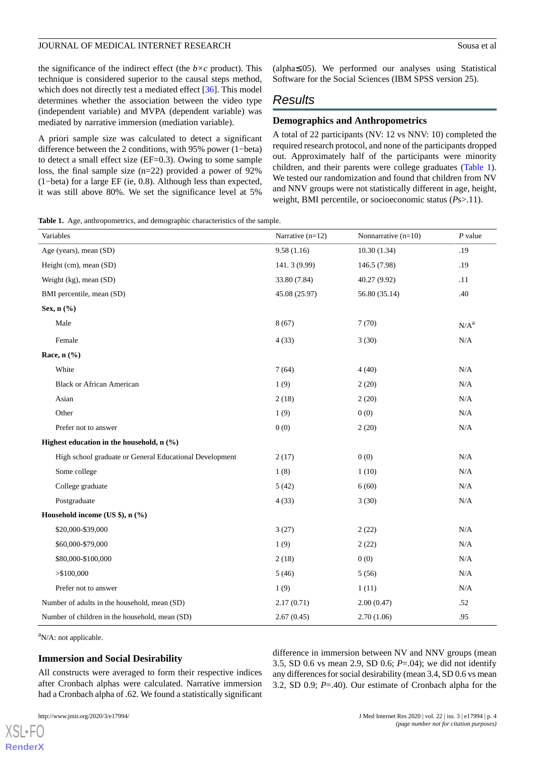the significance of the indirect effect (the  $b \times c$  product). This technique is considered superior to the causal steps method, which does not directly test a mediated effect [\[36](#page-8-4)]. This model determines whether the association between the video type (independent variable) and MVPA (dependent variable) was mediated by narrative immersion (mediation variable).

A priori sample size was calculated to detect a significant difference between the 2 conditions, with 95% power (1−beta) to detect a small effect size (EF=0.3). Owing to some sample loss, the final sample size (n=22) provided a power of 92% (1−beta) for a large EF (ie, 0.8). Although less than expected, it was still above 80%. We set the significance level at 5%

(alpha≤.05). We performed our analyses using Statistical Software for the Social Sciences (IBM SPSS version 25).

# *Results*

#### **Demographics and Anthropometrics**

A total of 22 participants (NV: 12 vs NNV: 10) completed the required research protocol, and none of the participants dropped out. Approximately half of the participants were minority children, and their parents were college graduates [\(Table 1\)](#page-3-0). We tested our randomization and found that children from NV and NNV groups were not statistically different in age, height, weight, BMI percentile, or socioeconomic status (*P*s>.11).

<span id="page-3-0"></span>**Table 1.** Age, anthropometrics, and demographic characteristics of the sample.

| Variables                                               | Narrative $(n=12)$ | Nonnarrative $(n=10)$ | $P$ value |
|---------------------------------------------------------|--------------------|-----------------------|-----------|
| Age (years), mean (SD)                                  | 9.58(1.16)         | 10.30(1.34)           | .19       |
| Height (cm), mean (SD)                                  | 141.3 (9.99)       | 146.5 (7.98)          | .19       |
| Weight (kg), mean (SD)                                  | 33.80 (7.84)       | 40.27 (9.92)          | .11       |
| BMI percentile, mean (SD)                               | 45.08 (25.97)      | 56.80 (35.14)         | .40       |
| Sex, $n$ $(\%)$                                         |                    |                       |           |
| Male                                                    | 8(67)              | 7(70)                 | $N/A^a$   |
| Female                                                  | 4(33)              | 3(30)                 | $\rm N/A$ |
| Race, $n$ $(\%)$                                        |                    |                       |           |
| White                                                   | 7(64)              | 4(40)                 | N/A       |
| <b>Black or African American</b>                        | 1(9)               | 2(20)                 | $\rm N/A$ |
| Asian                                                   | 2(18)              | 2(20)                 | $\rm N/A$ |
| Other                                                   | 1(9)               | 0(0)                  | $\rm N/A$ |
| Prefer not to answer                                    | 0(0)               | 2(20)                 | $\rm N/A$ |
| Highest education in the household, $n$ (%)             |                    |                       |           |
| High school graduate or General Educational Development | 2(17)              | 0(0)                  | $\rm N/A$ |
| Some college                                            | 1(8)               | 1(10)                 | N/A       |
| College graduate                                        | 5(42)              | 6(60)                 | $\rm N/A$ |
| Postgraduate                                            | 4(33)              | 3(30)                 | $\rm N/A$ |
| Household income (US \$), n (%)                         |                    |                       |           |
| \$20,000-\$39,000                                       | 3(27)              | 2(22)                 | $\rm N/A$ |
| \$60,000-\$79,000                                       | 1(9)               | 2(22)                 | N/A       |
| \$80,000-\$100,000                                      | 2(18)              | 0(0)                  | $\rm N/A$ |
| > \$100,000                                             | 5(46)              | 5(56)                 | N/A       |
| Prefer not to answer                                    | 1(9)               | 1(11)                 | N/A       |
| Number of adults in the household, mean (SD)            | 2.17(0.71)         | 2.00(0.47)            | .52       |
| Number of children in the household, mean (SD)          | 2.67(0.45)         | 2.70(1.06)            | .95       |

 $a$ N/A: not applicable.

#### **Immersion and Social Desirability**

All constructs were averaged to form their respective indices after Cronbach alphas were calculated. Narrative immersion had a Cronbach alpha of .62. We found a statistically significant

[XSL](http://www.w3.org/Style/XSL)•FO **[RenderX](http://www.renderx.com/)**

difference in immersion between NV and NNV groups (mean 3.5, SD 0.6 vs mean 2.9, SD 0.6; *P*=.04); we did not identify any differences for social desirability (mean 3.4, SD 0.6 vs mean 3.2, SD 0.9; *P*=.40). Our estimate of Cronbach alpha for the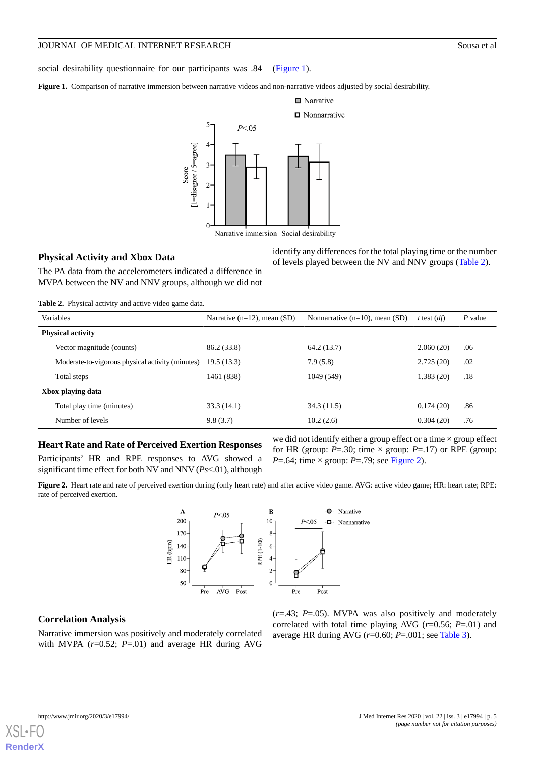social desirability questionnaire for our participants was .84 ([Figure 1\)](#page-4-0).

<span id="page-4-0"></span>Figure 1. Comparison of narrative immersion between narrative videos and non-narrative videos adjusted by social desirability.



#### **Physical Activity and Xbox Data**

identify any differences for the total playing time or the number of levels played between the NV and NNV groups ([Table 2](#page-4-1)).

<span id="page-4-1"></span>The PA data from the accelerometers indicated a difference in MVPA between the NV and NNV groups, although we did not

**Table 2.** Physical activity and active video game data.

| $\ldots$                 |                                                  |                                  |                                     |               |           |  |  |  |
|--------------------------|--------------------------------------------------|----------------------------------|-------------------------------------|---------------|-----------|--|--|--|
| Variables                |                                                  | Narrative $(n=12)$ , mean $(SD)$ | Nonnarrative $(n=10)$ , mean $(SD)$ | t test $(df)$ | $P$ value |  |  |  |
| <b>Physical activity</b> |                                                  |                                  |                                     |               |           |  |  |  |
|                          | Vector magnitude (counts)                        | 86.2 (33.8)                      | 64.2 (13.7)                         | 2.060(20)     | .06       |  |  |  |
|                          | Moderate-to-vigorous physical activity (minutes) | 19.5(13.3)                       | 7.9(5.8)                            | 2.725(20)     | .02       |  |  |  |
|                          | Total steps                                      | 1461 (838)                       | 1049 (549)                          | 1.383(20)     | .18       |  |  |  |
| Xbox playing data        |                                                  |                                  |                                     |               |           |  |  |  |
|                          | Total play time (minutes)                        | 33.3(14.1)                       | 34.3(11.5)                          | 0.174(20)     | .86       |  |  |  |
|                          | Number of levels                                 | 9.8(3.7)                         | 10.2(2.6)                           | 0.304(20)     | .76       |  |  |  |

## <span id="page-4-2"></span>**Heart Rate and Rate of Perceived Exertion Responses**

Participants' HR and RPE responses to AVG showed a significant time effect for both NV and NNV (*Ps*<.01), although

we did not identify either a group effect or a time  $\times$  group effect for HR (group:  $P = .30$ ; time  $\times$  group:  $P = .17$ ) or RPE (group: *P*=.64; time  $\times$  group: *P*=.79; see [Figure 2\)](#page-4-2).

**Figure 2.** Heart rate and rate of perceived exertion during (only heart rate) and after active video game. AVG: active video game; HR: heart rate; RPE: rate of perceived exertion.



#### **Correlation Analysis**

Narrative immersion was positively and moderately correlated with MVPA  $(r=0.52; P=.01)$  and average HR during AVG

(*r*=.43; *P*=.05). MVPA was also positively and moderately correlated with total time playing AVG (*r*=0.56; *P*=.01) and average HR during AVG (*r*=0.60; *P*=.001; see [Table 3](#page-5-0)).

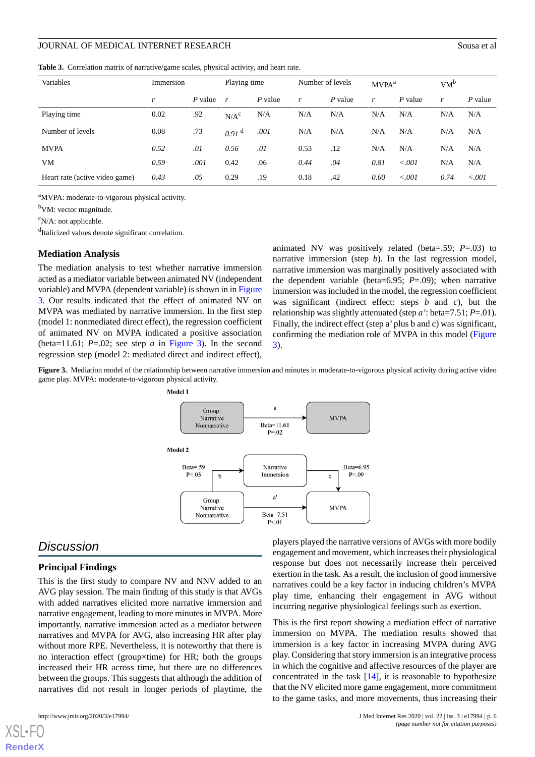<span id="page-5-0"></span>**Table 3.** Correlation matrix of narrative/game scales, physical activity, and heart rate.

| Variables                      | Immersion |         | Playing time      |           | Number of levels |           | MVPA <sup>a</sup> |         | $VM^b$ |         |
|--------------------------------|-----------|---------|-------------------|-----------|------------------|-----------|-------------------|---------|--------|---------|
|                                | r         | P value | r                 | $P$ value | r                | $P$ value | r                 | P value | r      | P value |
| Playing time                   | 0.02      | .92     | N/A <sup>c</sup>  | N/A       | N/A              | N/A       | N/A               | N/A     | N/A    | N/A     |
| Number of levels               | 0.08      | .73     | 0.91 <sup>d</sup> | .001      | N/A              | N/A       | N/A               | N/A     | N/A    | N/A     |
| <b>MVPA</b>                    | 0.52      | .01     | 0.56              | .01       | 0.53             | .12       | N/A               | N/A     | N/A    | N/A     |
| VM                             | 0.59      | .001    | 0.42              | .06       | 0.44             | .04       | 0.81              | < 0.001 | N/A    | N/A     |
| Heart rate (active video game) | 0.43      | .05     | 0.29              | .19       | 0.18             | .42       | 0.60              | < 0.001 | 0.74   | < 0.001 |

<sup>a</sup>MVPA: moderate-to-vigorous physical activity.

<sup>b</sup>VM: vector magnitude.

 $\rm^c$ N/A: not applicable.

<sup>d</sup>Italicized values denote significant correlation.

#### **Mediation Analysis**

The mediation analysis to test whether narrative immersion acted as a mediator variable between animated NV (independent variable) and MVPA (dependent variable) is shown in in [Figure](#page-5-1) [3.](#page-5-1) Our results indicated that the effect of animated NV on MVPA was mediated by narrative immersion. In the first step (model 1: nonmediated direct effect), the regression coefficient of animated NV on MVPA indicated a positive association (beta=11.61;  $P=.02$ ; see step  $\alpha$  in [Figure 3](#page-5-1)). In the second regression step (model 2: mediated direct and indirect effect),

animated NV was positively related (beta=.59; *P*=.03) to narrative immersion (step *b*). In the last regression model, narrative immersion was marginally positively associated with the dependent variable (beta=6.95;  $P = .09$ ); when narrative immersion was included in the model, the regression coefficient was significant (indirect effect: steps *b* and *c*), but the relationship was slightly attenuated (step *a'*: beta=7.51; *P*=.01). Finally, the indirect effect (step a' plus b and c) was significant, confirming the mediation role of MVPA in this model ([Figure](#page-5-1) [3\)](#page-5-1).

<span id="page-5-1"></span>**Figure 3.** Mediation model of the relationship between narrative immersion and minutes in moderate-to-vigorous physical activity during active video game play. MVPA: moderate-to-vigorous physical activity.



# *Discussion*

#### **Principal Findings**

This is the first study to compare NV and NNV added to an AVG play session. The main finding of this study is that AVGs with added narratives elicited more narrative immersion and narrative engagement, leading to more minutes in MVPA. More importantly, narrative immersion acted as a mediator between narratives and MVPA for AVG, also increasing HR after play without more RPE. Nevertheless, it is noteworthy that there is no interaction effect (group×time) for HR; both the groups increased their HR across time, but there are no differences between the groups. This suggests that although the addition of narratives did not result in longer periods of playtime, the

[XSL](http://www.w3.org/Style/XSL)•FO **[RenderX](http://www.renderx.com/)**

players played the narrative versions of AVGs with more bodily engagement and movement, which increases their physiological response but does not necessarily increase their perceived exertion in the task. As a result, the inclusion of good immersive narratives could be a key factor in inducing children's MVPA play time, enhancing their engagement in AVG without incurring negative physiological feelings such as exertion.

This is the first report showing a mediation effect of narrative immersion on MVPA. The mediation results showed that immersion is a key factor in increasing MVPA during AVG play. Considering that story immersion is an integrative process in which the cognitive and affective resources of the player are concentrated in the task [\[14](#page-7-6)], it is reasonable to hypothesize that the NV elicited more game engagement, more commitment to the game tasks, and more movements, thus increasing their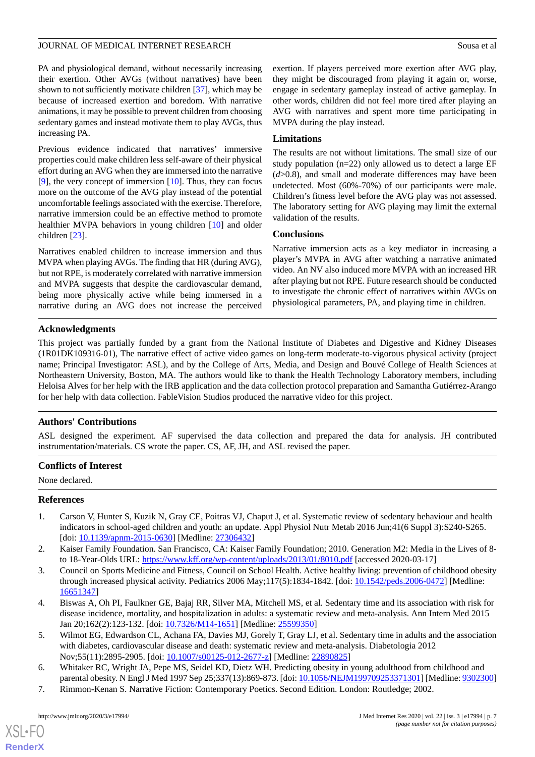PA and physiological demand, without necessarily increasing their exertion. Other AVGs (without narratives) have been shown to not sufficiently motivate children [\[37](#page-8-5)], which may be because of increased exertion and boredom. With narrative animations, it may be possible to prevent children from choosing sedentary games and instead motivate them to play AVGs, thus increasing PA.

Previous evidence indicated that narratives' immersive properties could make children less self-aware of their physical effort during an AVG when they are immersed into the narrative  $[9]$  $[9]$ , the very concept of immersion  $[10]$  $[10]$ . Thus, they can focus more on the outcome of the AVG play instead of the potential uncomfortable feelings associated with the exercise. Therefore, narrative immersion could be an effective method to promote healthier MVPA behaviors in young children [[10\]](#page-7-2) and older children [\[23](#page-7-15)].

Narratives enabled children to increase immersion and thus MVPA when playing AVGs. The finding that HR (during AVG), but not RPE, is moderately correlated with narrative immersion and MVPA suggests that despite the cardiovascular demand, being more physically active while being immersed in a narrative during an AVG does not increase the perceived exertion. If players perceived more exertion after AVG play, they might be discouraged from playing it again or, worse, engage in sedentary gameplay instead of active gameplay. In other words, children did not feel more tired after playing an AVG with narratives and spent more time participating in MVPA during the play instead.

# **Limitations**

The results are not without limitations. The small size of our study population  $(n=22)$  only allowed us to detect a large EF (*d*>0.8), and small and moderate differences may have been undetected. Most (60%-70%) of our participants were male. Children's fitness level before the AVG play was not assessed. The laboratory setting for AVG playing may limit the external validation of the results.

# **Conclusions**

Narrative immersion acts as a key mediator in increasing a player's MVPA in AVG after watching a narrative animated video. An NV also induced more MVPA with an increased HR after playing but not RPE. Future research should be conducted to investigate the chronic effect of narratives within AVGs on physiological parameters, PA, and playing time in children.

# **Acknowledgments**

This project was partially funded by a grant from the National Institute of Diabetes and Digestive and Kidney Diseases (1R01DK109316-01), The narrative effect of active video games on long-term moderate-to-vigorous physical activity (project name; Principal Investigator: ASL), and by the College of Arts, Media, and Design and Bouvé College of Health Sciences at Northeastern University, Boston, MA. The authors would like to thank the Health Technology Laboratory members, including Heloisa Alves for her help with the IRB application and the data collection protocol preparation and Samantha Gutiérrez-Arango for her help with data collection. FableVision Studios produced the narrative video for this project.

# **Authors' Contributions**

ASL designed the experiment. AF supervised the data collection and prepared the data for analysis. JH contributed instrumentation/materials. CS wrote the paper. CS, AF, JH, and ASL revised the paper.

# <span id="page-6-0"></span>**Conflicts of Interest**

None declared.

# <span id="page-6-1"></span>**References**

- <span id="page-6-2"></span>1. Carson V, Hunter S, Kuzik N, Gray CE, Poitras VJ, Chaput J, et al. Systematic review of sedentary behaviour and health indicators in school-aged children and youth: an update. Appl Physiol Nutr Metab 2016 Jun;41(6 Suppl 3):S240-S265. [doi: [10.1139/apnm-2015-0630](http://dx.doi.org/10.1139/apnm-2015-0630)] [Medline: [27306432\]](http://www.ncbi.nlm.nih.gov/entrez/query.fcgi?cmd=Retrieve&db=PubMed&list_uids=27306432&dopt=Abstract)
- <span id="page-6-3"></span>2. Kaiser Family Foundation. San Francisco, CA: Kaiser Family Foundation; 2010. Generation M2: Media in the Lives of 8 to 18-Year-Olds URL:<https://www.kff.org/wp-content/uploads/2013/01/8010.pdf> [accessed 2020-03-17]
- <span id="page-6-4"></span>3. Council on Sports Medicine and Fitness, Council on School Health. Active healthy living: prevention of childhood obesity through increased physical activity. Pediatrics 2006 May;117(5):1834-1842. [doi: [10.1542/peds.2006-0472](http://dx.doi.org/10.1542/peds.2006-0472)] [Medline: [16651347](http://www.ncbi.nlm.nih.gov/entrez/query.fcgi?cmd=Retrieve&db=PubMed&list_uids=16651347&dopt=Abstract)]
- <span id="page-6-5"></span>4. Biswas A, Oh PI, Faulkner GE, Bajaj RR, Silver MA, Mitchell MS, et al. Sedentary time and its association with risk for disease incidence, mortality, and hospitalization in adults: a systematic review and meta-analysis. Ann Intern Med 2015 Jan 20;162(2):123-132. [doi: [10.7326/M14-1651\]](http://dx.doi.org/10.7326/M14-1651) [Medline: [25599350\]](http://www.ncbi.nlm.nih.gov/entrez/query.fcgi?cmd=Retrieve&db=PubMed&list_uids=25599350&dopt=Abstract)
- <span id="page-6-6"></span>5. Wilmot EG, Edwardson CL, Achana FA, Davies MJ, Gorely T, Gray LJ, et al. Sedentary time in adults and the association with diabetes, cardiovascular disease and death: systematic review and meta-analysis. Diabetologia 2012 Nov;55(11):2895-2905. [doi: [10.1007/s00125-012-2677-z](http://dx.doi.org/10.1007/s00125-012-2677-z)] [Medline: [22890825\]](http://www.ncbi.nlm.nih.gov/entrez/query.fcgi?cmd=Retrieve&db=PubMed&list_uids=22890825&dopt=Abstract)
- 6. Whitaker RC, Wright JA, Pepe MS, Seidel KD, Dietz WH. Predicting obesity in young adulthood from childhood and parental obesity. N Engl J Med 1997 Sep 25;337(13):869-873. [doi: [10.1056/NEJM199709253371301](http://dx.doi.org/10.1056/NEJM199709253371301)] [Medline: [9302300\]](http://www.ncbi.nlm.nih.gov/entrez/query.fcgi?cmd=Retrieve&db=PubMed&list_uids=9302300&dopt=Abstract)
- 7. Rimmon-Kenan S. Narrative Fiction: Contemporary Poetics. Second Edition. London: Routledge; 2002.

[XSL](http://www.w3.org/Style/XSL)•FO **[RenderX](http://www.renderx.com/)**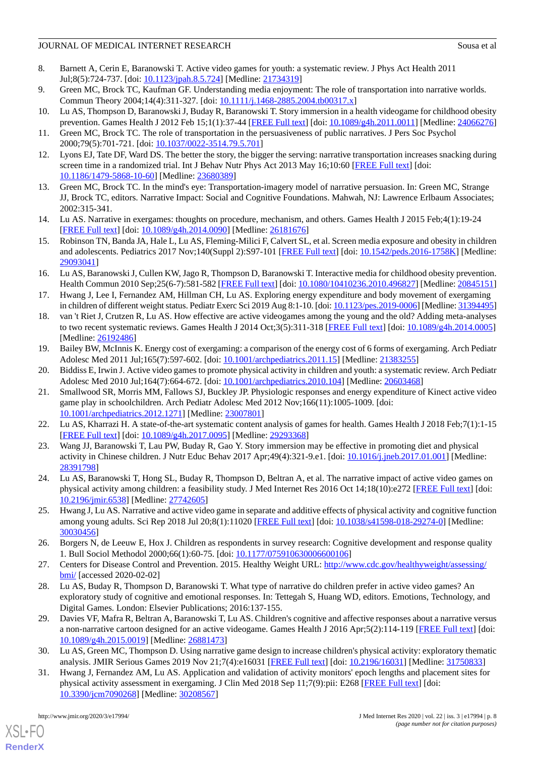- <span id="page-7-0"></span>8. Barnett A, Cerin E, Baranowski T. Active video games for youth: a systematic review. J Phys Act Health 2011 Jul;8(5):724-737. [doi: [10.1123/jpah.8.5.724](http://dx.doi.org/10.1123/jpah.8.5.724)] [Medline: [21734319\]](http://www.ncbi.nlm.nih.gov/entrez/query.fcgi?cmd=Retrieve&db=PubMed&list_uids=21734319&dopt=Abstract)
- <span id="page-7-2"></span><span id="page-7-1"></span>9. Green MC, Brock TC, Kaufman GF. Understanding media enjoyment: The role of transportation into narrative worlds. Commun Theory 2004;14(4):311-327. [doi: [10.1111/j.1468-2885.2004.tb00317.x\]](http://dx.doi.org/10.1111/j.1468-2885.2004.tb00317.x)
- <span id="page-7-3"></span>10. Lu AS, Thompson D, Baranowski J, Buday R, Baranowski T. Story immersion in a health videogame for childhood obesity prevention. Games Health J 2012 Feb 15;1(1):37-44 [[FREE Full text\]](http://europepmc.org/abstract/MED/24066276) [doi: [10.1089/g4h.2011.0011](http://dx.doi.org/10.1089/g4h.2011.0011)] [Medline: [24066276](http://www.ncbi.nlm.nih.gov/entrez/query.fcgi?cmd=Retrieve&db=PubMed&list_uids=24066276&dopt=Abstract)]
- <span id="page-7-4"></span>11. Green MC, Brock TC. The role of transportation in the persuasiveness of public narratives. J Pers Soc Psychol 2000;79(5):701-721. [doi: [10.1037/0022-3514.79.5.701\]](http://dx.doi.org/10.1037/0022-3514.79.5.701)
- <span id="page-7-5"></span>12. Lyons EJ, Tate DF, Ward DS. The better the story, the bigger the serving: narrative transportation increases snacking during screen time in a randomized trial. Int J Behav Nutr Phys Act 2013 May 16;10:60 [\[FREE Full text\]](https://ijbnpa.biomedcentral.com/articles/10.1186/1479-5868-10-60) [doi: [10.1186/1479-5868-10-60\]](http://dx.doi.org/10.1186/1479-5868-10-60) [Medline: [23680389\]](http://www.ncbi.nlm.nih.gov/entrez/query.fcgi?cmd=Retrieve&db=PubMed&list_uids=23680389&dopt=Abstract)
- <span id="page-7-6"></span>13. Green MC, Brock TC. In the mind's eye: Transportation-imagery model of narrative persuasion. In: Green MC, Strange JJ, Brock TC, editors. Narrative Impact: Social and Cognitive Foundations. Mahwah, NJ: Lawrence Erlbaum Associates; 2002:315-341.
- <span id="page-7-7"></span>14. Lu AS. Narrative in exergames: thoughts on procedure, mechanism, and others. Games Health J 2015 Feb;4(1):19-24 [[FREE Full text](http://europepmc.org/abstract/MED/26181676)] [doi: [10.1089/g4h.2014.0090\]](http://dx.doi.org/10.1089/g4h.2014.0090) [Medline: [26181676](http://www.ncbi.nlm.nih.gov/entrez/query.fcgi?cmd=Retrieve&db=PubMed&list_uids=26181676&dopt=Abstract)]
- <span id="page-7-8"></span>15. Robinson TN, Banda JA, Hale L, Lu AS, Fleming-Milici F, Calvert SL, et al. Screen media exposure and obesity in children and adolescents. Pediatrics 2017 Nov;140(Suppl 2):S97-101 [[FREE Full text\]](http://pediatrics.aappublications.org/cgi/pmidlookup?view=long&pmid=29093041) [doi: [10.1542/peds.2016-1758K\]](http://dx.doi.org/10.1542/peds.2016-1758K) [Medline: [29093041](http://www.ncbi.nlm.nih.gov/entrez/query.fcgi?cmd=Retrieve&db=PubMed&list_uids=29093041&dopt=Abstract)]
- <span id="page-7-9"></span>16. Lu AS, Baranowski J, Cullen KW, Jago R, Thompson D, Baranowski T. Interactive media for childhood obesity prevention. Health Commun 2010 Sep;25(6-7):581-582 [\[FREE Full text\]](http://europepmc.org/abstract/MED/20845151) [doi: [10.1080/10410236.2010.496827](http://dx.doi.org/10.1080/10410236.2010.496827)] [Medline: [20845151](http://www.ncbi.nlm.nih.gov/entrez/query.fcgi?cmd=Retrieve&db=PubMed&list_uids=20845151&dopt=Abstract)]
- <span id="page-7-10"></span>17. Hwang J, Lee I, Fernandez AM, Hillman CH, Lu AS. Exploring energy expenditure and body movement of exergaming in children of different weight status. Pediatr Exerc Sci 2019 Aug 8:1-10. [doi: [10.1123/pes.2019-0006](http://dx.doi.org/10.1123/pes.2019-0006)] [Medline: [31394495\]](http://www.ncbi.nlm.nih.gov/entrez/query.fcgi?cmd=Retrieve&db=PubMed&list_uids=31394495&dopt=Abstract)
- <span id="page-7-11"></span>18. van 't Riet J, Crutzen R, Lu AS. How effective are active videogames among the young and the old? Adding meta-analyses to two recent systematic reviews. Games Health J 2014 Oct;3(5):311-318 [[FREE Full text](http://europepmc.org/abstract/MED/26192486)] [doi: [10.1089/g4h.2014.0005](http://dx.doi.org/10.1089/g4h.2014.0005)] [Medline: [26192486](http://www.ncbi.nlm.nih.gov/entrez/query.fcgi?cmd=Retrieve&db=PubMed&list_uids=26192486&dopt=Abstract)]
- <span id="page-7-13"></span><span id="page-7-12"></span>19. Bailey BW, McInnis K. Energy cost of exergaming: a comparison of the energy cost of 6 forms of exergaming. Arch Pediatr Adolesc Med 2011 Jul;165(7):597-602. [doi: [10.1001/archpediatrics.2011.15](http://dx.doi.org/10.1001/archpediatrics.2011.15)] [Medline: [21383255\]](http://www.ncbi.nlm.nih.gov/entrez/query.fcgi?cmd=Retrieve&db=PubMed&list_uids=21383255&dopt=Abstract)
- 20. Biddiss E, Irwin J. Active video games to promote physical activity in children and youth: a systematic review. Arch Pediatr Adolesc Med 2010 Jul;164(7):664-672. [doi: [10.1001/archpediatrics.2010.104](http://dx.doi.org/10.1001/archpediatrics.2010.104)] [Medline: [20603468\]](http://www.ncbi.nlm.nih.gov/entrez/query.fcgi?cmd=Retrieve&db=PubMed&list_uids=20603468&dopt=Abstract)
- <span id="page-7-15"></span><span id="page-7-14"></span>21. Smallwood SR, Morris MM, Fallows SJ, Buckley JP. Physiologic responses and energy expenditure of Kinect active video game play in schoolchildren. Arch Pediatr Adolesc Med 2012 Nov;166(11):1005-1009. [doi: [10.1001/archpediatrics.2012.1271\]](http://dx.doi.org/10.1001/archpediatrics.2012.1271) [Medline: [23007801\]](http://www.ncbi.nlm.nih.gov/entrez/query.fcgi?cmd=Retrieve&db=PubMed&list_uids=23007801&dopt=Abstract)
- <span id="page-7-16"></span>22. Lu AS, Kharrazi H. A state-of-the-art systematic content analysis of games for health. Games Health J 2018 Feb;7(1):1-15 [[FREE Full text](http://europepmc.org/abstract/MED/29293368)] [doi: [10.1089/g4h.2017.0095\]](http://dx.doi.org/10.1089/g4h.2017.0095) [Medline: [29293368](http://www.ncbi.nlm.nih.gov/entrez/query.fcgi?cmd=Retrieve&db=PubMed&list_uids=29293368&dopt=Abstract)]
- <span id="page-7-17"></span>23. Wang JJ, Baranowski T, Lau PW, Buday R, Gao Y. Story immersion may be effective in promoting diet and physical activity in Chinese children. J Nutr Educ Behav 2017 Apr;49(4):321-9.e1. [doi: [10.1016/j.jneb.2017.01.001](http://dx.doi.org/10.1016/j.jneb.2017.01.001)] [Medline: [28391798](http://www.ncbi.nlm.nih.gov/entrez/query.fcgi?cmd=Retrieve&db=PubMed&list_uids=28391798&dopt=Abstract)]
- <span id="page-7-18"></span>24. Lu AS, Baranowski T, Hong SL, Buday R, Thompson D, Beltran A, et al. The narrative impact of active video games on physical activity among children: a feasibility study. J Med Internet Res 2016 Oct 14;18(10):e272 [\[FREE Full text\]](https://www.jmir.org/2016/10/e272/) [doi: [10.2196/jmir.6538](http://dx.doi.org/10.2196/jmir.6538)] [Medline: [27742605](http://www.ncbi.nlm.nih.gov/entrez/query.fcgi?cmd=Retrieve&db=PubMed&list_uids=27742605&dopt=Abstract)]
- <span id="page-7-19"></span>25. Hwang J, Lu AS. Narrative and active video game in separate and additive effects of physical activity and cognitive function among young adults. Sci Rep 2018 Jul 20;8(1):11020 [\[FREE Full text\]](http://dx.doi.org/10.1038/s41598-018-29274-0) [doi: [10.1038/s41598-018-29274-0](http://dx.doi.org/10.1038/s41598-018-29274-0)] [Medline: [30030456](http://www.ncbi.nlm.nih.gov/entrez/query.fcgi?cmd=Retrieve&db=PubMed&list_uids=30030456&dopt=Abstract)]
- <span id="page-7-20"></span>26. Borgers N, de Leeuw E, Hox J. Children as respondents in survey research: Cognitive development and response quality 1. Bull Sociol Methodol 2000;66(1):60-75. [doi: [10.1177/075910630006600106\]](http://dx.doi.org/10.1177/075910630006600106)
- <span id="page-7-21"></span>27. Centers for Disease Control and Prevention. 2015. Healthy Weight URL: [http://www.cdc.gov/healthyweight/assessing/](http://www.cdc.gov/healthyweight/assessing/bmi/) [bmi/](http://www.cdc.gov/healthyweight/assessing/bmi/) [accessed 2020-02-02]
- <span id="page-7-22"></span>28. Lu AS, Buday R, Thompson D, Baranowski T. What type of narrative do children prefer in active video games? An exploratory study of cognitive and emotional responses. In: Tettegah S, Huang WD, editors. Emotions, Technology, and Digital Games. London: Elsevier Publications; 2016:137-155.
- <span id="page-7-23"></span>29. Davies VF, Mafra R, Beltran A, Baranowski T, Lu AS. Children's cognitive and affective responses about a narrative versus a non-narrative cartoon designed for an active videogame. Games Health J 2016 Apr;5(2):114-119 [\[FREE Full text](http://europepmc.org/abstract/MED/26881473)] [doi: [10.1089/g4h.2015.0019\]](http://dx.doi.org/10.1089/g4h.2015.0019) [Medline: [26881473\]](http://www.ncbi.nlm.nih.gov/entrez/query.fcgi?cmd=Retrieve&db=PubMed&list_uids=26881473&dopt=Abstract)
- 30. Lu AS, Green MC, Thompson D. Using narrative game design to increase children's physical activity: exploratory thematic analysis. JMIR Serious Games 2019 Nov 21;7(4):e16031 [\[FREE Full text\]](https://games.jmir.org/2019/4/e16031/) [doi: [10.2196/16031](http://dx.doi.org/10.2196/16031)] [Medline: [31750833](http://www.ncbi.nlm.nih.gov/entrez/query.fcgi?cmd=Retrieve&db=PubMed&list_uids=31750833&dopt=Abstract)]
- 31. Hwang J, Fernandez AM, Lu AS. Application and validation of activity monitors' epoch lengths and placement sites for physical activity assessment in exergaming. J Clin Med 2018 Sep 11;7(9):pii: E268 [\[FREE Full text\]](http://www.mdpi.com/resolver?pii=jcm7090268) [doi: [10.3390/jcm7090268\]](http://dx.doi.org/10.3390/jcm7090268) [Medline: [30208567\]](http://www.ncbi.nlm.nih.gov/entrez/query.fcgi?cmd=Retrieve&db=PubMed&list_uids=30208567&dopt=Abstract)

[XSL](http://www.w3.org/Style/XSL)•FO **[RenderX](http://www.renderx.com/)**